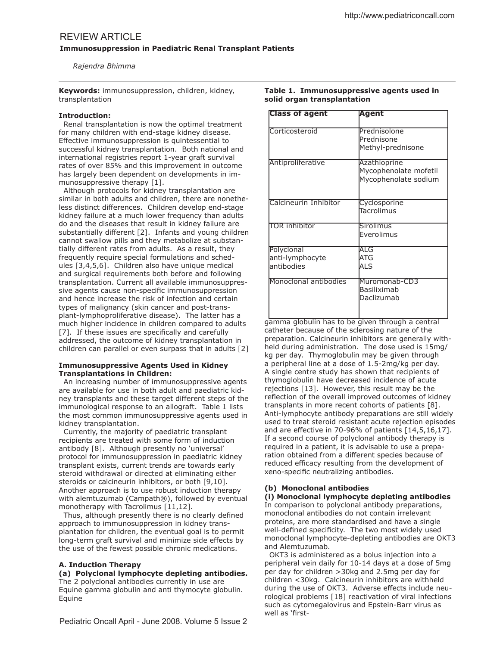# REVIEW ARTICLE

**Immunosuppression in Paediatric Renal Transplant Patients** 

 *Rajendra Bhimma*

**Keywords:** immunosuppression, children, kidney, transplantation

## **Introduction:**

 Renal transplantation is now the optimal treatment for many children with end-stage kidney disease. Efective immunosuppression is quintessential to successful kidney transplantation. Both national and international registries report 1-year graft survival rates of over 85% and this improvement in outcome has largely been dependent on developments in immunosuppressive therapy [1].

 Although protocols for kidney transplantation are similar in both adults and children, there are nonetheless distinct diferences. Children develop end-stage kidney failure at a much lower frequency than adults do and the diseases that result in kidney failure are substantially diferent [2]. Infants and young children cannot swallow pills and they metabolize at substantially diferent rates from adults. As a result, they frequently require special formulations and schedules [3,4,5,6]. Children also have unique medical and surgical requirements both before and following transplantation. Current all available immunosuppressive agents cause non-specific immunosuppression and hence increase the risk of infection and certain types of malignancy (skin cancer and post-transplant-lymphoproliferative disease). The latter has a much higher incidence in children compared to adults [7]. If these issues are specifically and carefully addressed, the outcome of kidney transplantation in children can parallel or even surpass that in adults [2]

## **Immunosuppressive Agents Used in Kidney Transplantations in Children:**

 An increasing number of immunosuppressive agents are available for use in both adult and paediatric kidney transplants and these target diferent steps of the immunological response to an allograft. Table 1 lists the most common immunosuppressive agents used in kidney transplantation.

 Currently, the majority of paediatric transplant recipients are treated with some form of induction antibody [8]. Although presently no 'universal' protocol for immunosuppression in paediatric kidney transplant exists, current trends are towards early steroid withdrawal or directed at eliminating either steroids or calcineurin inhibitors, or both [9,10]. Another approach is to use robust induction therapy with alemtuzumab (Campath®), followed by eventual monotherapy with Tacrolimus [11,12].

Thus, although presently there is no clearly defined approach to immunosuppression in kidney transplantation for children, the eventual goal is to permit long-term graft survival and minimize side effects by the use of the fewest possible chronic medications.

## **A. Induction Therapy**

**(a) Polyclonal lymphocyte depleting antibodies.**  The 2 polyclonal antibodies currently in use are Equine gamma globulin and anti thymocyte globulin. Equine

**Table 1. Immunosuppressive agents used in solid organ transplantation**

| <b>Class of agent</b>                       | Agent                                                         |  |
|---------------------------------------------|---------------------------------------------------------------|--|
| Corticosteroid                              | Prednisolone<br>Prednisone<br>Methyl-prednisone               |  |
| Antiproliferative                           | Azathioprine<br>Mycophenolate mofetil<br>Mycophenolate sodium |  |
| Calcineurin Inhibitor                       | Cyclosporine<br>Tacrolimus                                    |  |
| <b>TOR inhibitor</b>                        | <b>Sirolimus</b><br>Everolimus                                |  |
| Polyclonal<br>anti-lymphocyte<br>antibodies | ALG<br>ATG<br>ALS                                             |  |
| Monoclonal antibodies                       | Muromonab-CD3<br>Basiliximab<br>Daclizumab                    |  |

gamma globulin has to be given through a central catheter because of the sclerosing nature of the preparation. Calcineurin inhibitors are generally withheld during administration. The dose used is 15mg/ kg per day. Thymoglobulin may be given through a peripheral line at a dose of 1.5-2mg/kg per day. A single centre study has shown that recipients of thymoglobulin have decreased incidence of acute rejections [13]. However, this result may be the reflection of the overall improved outcomes of kidney transplants in more recent cohorts of patients [8]. Anti-lymphocyte antibody preparations are still widely used to treat steroid resistant acute rejection episodes and are efective in 70-96% of patients [14,5,16,17]. If a second course of polyclonal antibody therapy is required in a patient, it is advisable to use a preparation obtained from a diferent species because of reduced efficacy resulting from the development of xeno-specific neutralizing antibodies.

## **(b) Monoclonal antibodies**

**(i) Monoclonal lymphocyte depleting antibodies**

In comparison to polyclonal antibody preparations, monoclonal antibodies do not contain irrelevant proteins, are more standardised and have a single well-defined specificity. The two most widely used monoclonal lymphocyte-depleting antibodies are OKT3 and Alemtuzumab.

 OKT3 is administered as a bolus injection into a peripheral vein daily for 10-14 days at a dose of 5mg per day for children >30kg and 2.5mg per day for children <30kg. Calcineurin inhibitors are withheld during the use of OKT3. Adverse effects include neurological problems [18] reactivation of viral infections such as cytomegalovirus and Epstein-Barr virus as well as 'first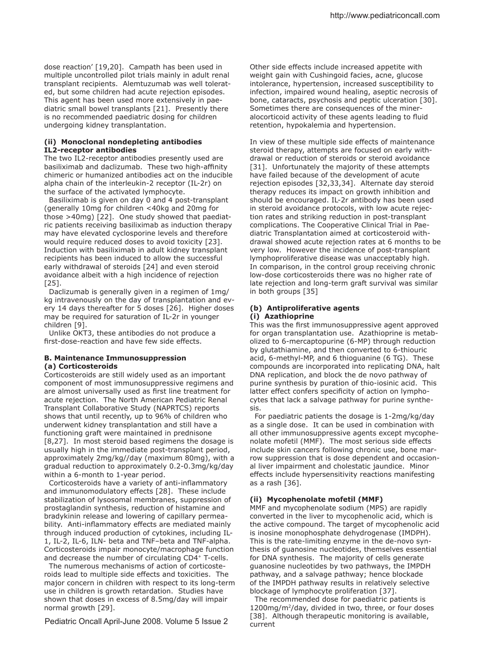dose reaction' [19,20]. Campath has been used in multiple uncontrolled pilot trials mainly in adult renal transplant recipients. Alemtuzumab was well tolerated, but some children had acute rejection episodes. This agent has been used more extensively in paediatric small bowel transplants [21]. Presently there is no recommended paediatric dosing for children undergoing kidney transplantation.

## **(ii) Monoclonal nondepleting antibodies IL2-receptor antibodies**

The two IL2-receptor antibodies presently used are basiliximab and daclizumab. These two high-affinity chimeric or humanized antibodies act on the inducible alpha chain of the interleukin-2 receptor (IL-2r) on the surface of the activated lymphocyte.

 Basiliximab is given on day 0 and 4 post-transplant (generally 10mg for children <40kg and 20mg for those >40mg) [22]. One study showed that paediatric patients receiving basiliximab as induction therapy may have elevated cyclosporine levels and therefore would require reduced doses to avoid toxicity [23]. Induction with basiliximab in adult kidney transplant recipients has been induced to allow the successful early withdrawal of steroids [24] and even steroid avoidance albeit with a high incidence of rejection [25].

 Daclizumab is generally given in a regimen of 1mg/ kg intravenously on the day of transplantation and every 14 days thereafter for 5 doses [26]. Higher doses may be required for saturation of IL-2r in younger children [9].

 Unlike OKT3, these antibodies do not produce a first-dose-reaction and have few side effects.

## **B. Maintenance Immunosuppression (a) Corticosteroids**

Corticosteroids are still widely used as an important component of most immunosuppressive regimens and are almost universally used as first line treatment for acute rejection. The North American Pediatric Renal Transplant Collaborative Study (NAPRTCS) reports shows that until recently, up to 96% of children who underwent kidney transplantation and still have a functioning graft were maintained in prednisone [8,27]. In most steroid based regimens the dosage is usually high in the immediate post-transplant period, approximately 2mg/kg//day (maximum 80mg), with a gradual reduction to approximately 0.2-0.3mg/kg/day within a 6-month to 1-year period.

Corticosteroids have a variety of anti-inflammatory and immunomodulatory effects [28]. These include stabilization of lysosomal membranes, suppression of prostaglandin synthesis, reduction of histamine and bradykinin release and lowering of capillary permeability. Anti-inflammatory effects are mediated mainly through induced production of cytokines, including IL-1, IL-2, IL-6, ILN- beta and TNF–beta and TNF-alpha. Corticosteroids impair monocyte/macrophage function and decrease the number of circulating CD4<sup>+</sup> T-cells.

 The numerous mechanisms of action of corticosteroids lead to multiple side efects and toxicities. The major concern in children with respect to its long-term use in children is growth retardation. Studies have shown that doses in excess of 8.5mg/day will impair normal growth [29].

Pediatric Oncall April-June 2008. Volume 5 Issue 2

Other side effects include increased appetite with weight gain with Cushingoid facies, acne, glucose intolerance, hypertension, increased susceptibility to infection, impaired wound healing, aseptic necrosis of bone, cataracts, psychosis and peptic ulceration [30]. Sometimes there are consequences of the mineralocorticoid activity of these agents leading to fluid retention, hypokalemia and hypertension.

In view of these multiple side efects of maintenance steroid therapy, attempts are focused on early withdrawal or reduction of steroids or steroid avoidance [31]. Unfortunately the majority of these attempts have failed because of the development of acute rejection episodes [32,33,34]. Alternate day steroid therapy reduces its impact on growth inhibition and should be encouraged. IL-2r antibody has been used in steroid avoidance protocols, with low acute rejection rates and striking reduction in post-transplant complications. The Cooperative Clinical Trial in Paediatric Transplantation aimed at corticosteroid withdrawal showed acute rejection rates at 6 months to be very low. However the incidence of post-transplant lymphoproliferative disease was unacceptably high. In comparison, in the control group receiving chronic low-dose corticosteroids there was no higher rate of late rejection and long-term graft survival was similar in both groups [35]

## **(b) Antiproliferative agents**

## **(i) Azathioprine**

This was the first immunosuppressive agent approved for organ transplantation use. Azathioprine is metabolized to 6-mercaptopurine (6-MP) through reduction by glutathiamine, and then converted to 6-thiouric acid, 6-methyl-MP, and 6 thioguanine (6 TG). These compounds are incorporated into replicating DNA, halt DNA replication, and block the de novo pathway of purine synthesis by puration of thio-iosinic acid. This latter effect confers specificity of action on lymphocytes that lack a salvage pathway for purine synthesis.

 For paediatric patients the dosage is 1-2mg/kg/day as a single dose. It can be used in combination with all other immunosuppressive agents except mycophenolate mofetil (MMF). The most serious side efects include skin cancers following chronic use, bone marrow suppression that is dose dependent and occasional liver impairment and cholestatic jaundice. Minor efects include hypersensitivity reactions manifesting as a rash [36].

## **(ii) Mycophenolate mofetil (MMF)**

MMF and mycophenolate sodium (MPS) are rapidly converted in the liver to mycophenolic acid, which is the active compound. The target of mycophenolic acid is inosine monophosphate dehydrogenase (IMDPH). This is the rate-limiting enzyme in the de-novo synthesis of guanosine nucleotides, themselves essential for DNA synthesis. The majority of cells generate guanosine nucleotides by two pathways, the IMPDH pathway, and a salvage pathway; hence blockade of the IMPDH pathway results in relatively selective blockage of lymphocyte proliferation [37].

 The recommended dose for paediatric patients is 1200mg/m<sup>2</sup>/day, divided in two, three, or four doses [38]. Although therapeutic monitoring is available, current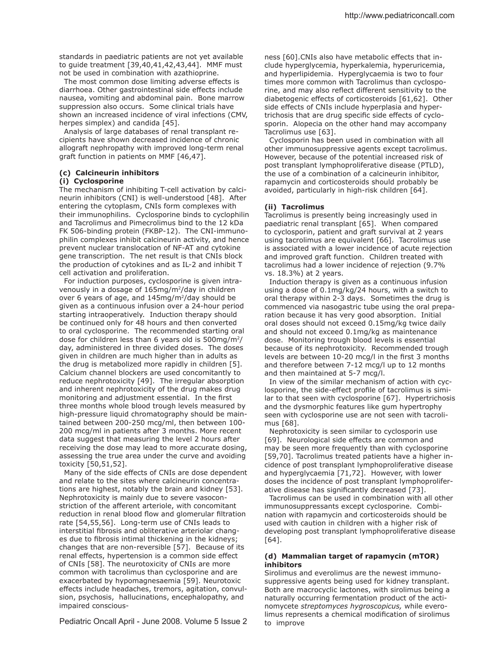standards in paediatric patients are not yet available to guide treatment [39,40,41,42,43,44]. MMF must not be used in combination with azathioprine.

The most common dose limiting adverse effects is diarrhoea. Other gastrointestinal side efects include nausea, vomiting and abdominal pain. Bone marrow suppression also occurs. Some clinical trials have shown an increased incidence of viral infections (CMV, herpes simplex) and candida [45].

 Analysis of large databases of renal transplant recipients have shown decreased incidence of chronic allograft nephropathy with improved long-term renal graft function in patients on MMF [46,47].

## **(c) Calcineurin inhibitors**

## **(i) Cyclosporine**

The mechanism of inhibiting T-cell activation by calcineurin inhibitors (CNI) is well-understood [48]. After entering the cytoplasm, CNIs form complexes with their immunophilins. Cyclosporine binds to cyclophilin and Tacrolimus and Pimecrolimus bind to the 12 kDa FK 506-binding protein (FKBP-12). The CNI-immunophilin complexes inhibit calcineurin activity, and hence prevent nuclear translocation of NF-AT and cytokine gene transcription. The net result is that CNIs block the production of cytokines and as IL-2 and inhibit T cell activation and proliferation.

 For induction purposes, cyclosporine is given intravenously in a dosage of  $165mg/m^2$ /day in children over 6 years of age, and  $145mg/m^2$ /day should be given as a continuous infusion over a 24-hour period starting intraoperatively. Induction therapy should be continued only for 48 hours and then converted to oral cyclosporine. The recommended starting oral dose for children less than 6 years old is 500mg/m<sup>2</sup>/ day, administered in three divided doses. The doses given in children are much higher than in adults as the drug is metabolized more rapidly in children [5]. Calcium channel blockers are used concomitantly to reduce nephrotoxicity [49]. The irregular absorption and inherent nephrotoxicity of the drug makes drug monitoring and adjustment essential. In the first three months whole blood trough levels measured by high-pressure liquid chromatography should be maintained between 200-250 mcg/ml, then between 100- 200 mcg/ml in patients after 3 months. More recent data suggest that measuring the level 2 hours after receiving the dose may lead to more accurate dosing, assessing the true area under the curve and avoiding toxicity [50,51,52].

 Many of the side efects of CNIs are dose dependent and relate to the sites where calcineurin concentrations are highest, notably the brain and kidney [53]. Nephrotoxicity is mainly due to severe vasoconstriction of the afferent arteriole, with concomitant reduction in renal blood flow and glomerular filtration rate [54,55,56]. Long-term use of CNIs leads to interstitial fibrosis and obliterative arteriolar changes due to fibrosis intimal thickening in the kidneys; changes that are non-reversible [57]. Because of its renal efects, hypertension is a common side efect of CNIs [58]. The neurotoxicity of CNIs are more common with tacrolimus than cyclosporine and are exacerbated by hypomagnesaemia [59]. Neurotoxic efects include headaches, tremors, agitation, convulsion, psychosis, hallucinations, encephalopathy, and impaired conscious-

Pediatric Oncall April - June 2008. Volume 5 Issue 2

ness [60].CNIs also have metabolic efects that include hyperglycemia, hyperkalemia, hyperuricemia, and hyperlipidemia. Hyperglycaemia is two to four times more common with Tacrolimus than cyclosporine, and may also reflect different sensitivity to the diabetogenic efects of corticosteroids [61,62]. Other side effects of CNIs include hyperplasia and hypertrichosis that are drug specific side effects of cyclosporin. Alopecia on the other hand may accompany Tacrolimus use [63].

 Cyclosporin has been used in combination with all other immunosuppressive agents except tacrolimus. However, because of the potential increased risk of post transplant lymphoproliferative disease (PTLD), the use of a combination of a calcineurin inhibitor, rapamycin and corticosteroids should probably be avoided, particularly in high-risk children [64].

## **(ii) Tacrolimus**

Tacrolimus is presently being increasingly used in paediatric renal transplant [65]. When compared to cyclosporin, patient and graft survival at 2 years using tacrolimus are equivalent [66]. Tacrolimus use is associated with a lower incidence of acute rejection and improved graft function. Children treated with tacrolimus had a lower incidence of rejection (9.7% vs. 18.3%) at 2 years.

 Induction therapy is given as a continuous infusion using a dose of 0.1mg/kg/24 hours, with a switch to oral therapy within 2-3 days. Sometimes the drug is commenced via nasogastric tube using the oral preparation because it has very good absorption. Initial oral doses should not exceed 0.15mg/kg twice daily and should not exceed 0.1mg/kg as maintenance dose. Monitoring trough blood levels is essential because of its nephrotoxicity. Recommended trough levels are between 10-20 mcg/l in the first 3 months and therefore between 7-12 mcg/l up to 12 months and then maintained at 5-7 mcg/l.

 In view of the similar mechanism of action with cyclosporine, the side-effect profile of tacrolimus is similar to that seen with cyclosporine [67]. Hypertrichosis and the dysmorphic features like gum hypertrophy seen with cyclosporine use are not seen with tacrolimus [68].

 Nephrotoxicity is seen similar to cyclosporin use [69]. Neurological side effects are common and may be seen more frequently than with cyclosporine [59,70]. Tacrolimus treated patients have a higher incidence of post transplant lymphoproliferative disease and hyperglycaemia [71,72]. However, with lower doses the incidence of post transplant lymphoproliferative disease has significantly decreased [73].

 Tacrolimus can be used in combination with all other immunosuppressants except cyclosporine. Combination with rapamycin and corticosteroids should be used with caution in children with a higher risk of developing post transplant lymphoproliferative disease [64].

## **(d) Mammalian target of rapamycin (mTOR) inhibitors**

Sirolimus and everolimus are the newest immunosuppressive agents being used for kidney transplant. Both are macrocyclic lactones, with sirolimus being a naturally occurring fermentation product of the actinomycete *streptomyces hygroscopicus,* while everolimus represents a chemical modification of sirolimus to improve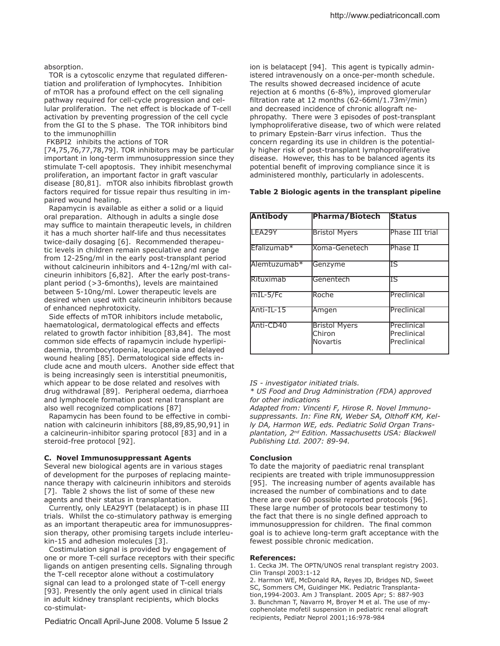### absorption.

 TOR is a cytoscolic enzyme that regulated diferentiation and proliferation of lymphocytes. Inhibition of mTOR has a profound efect on the cell signaling pathway required for cell-cycle progression and cellular proliferation. The net efect is blockade of T-cell activation by preventing progression of the cell cycle from the GI to the S phase. The TOR inhibitors bind to the immunophillin

### FKBPI2 inhibits the actions of TOR

[74,75,76,77,78,79]. TOR inhibitors may be particular important in long-term immunosuppression since they stimulate T-cell apoptosis. They inhibit mesenchymal proliferation, an important factor in graft vascular disease [80,81]. mTOR also inhibits fibroblast growth factors required for tissue repair thus resulting in impaired wound healing.

 Rapamycin is available as either a solid or a liquid oral preparation. Although in adults a single dose may suffice to maintain therapeutic levels, in children it has a much shorter half-life and thus necessitates twice-daily dosaging [6]. Recommended therapeutic levels in children remain speculative and range from 12-25ng/ml in the early post-transplant period without calcineurin inhibitors and 4-12ng/ml with calcineurin inhibitors [6,82]. After the early post-transplant period (>3-6months), levels are maintained between 5-10ng/ml. Lower therapeutic levels are desired when used with calcineurin inhibitors because of enhanced nephrotoxicity.

Side effects of mTOR inhibitors include metabolic, haematological, dermatological effects and effects related to growth factor inhibition [83,84]. The most common side efects of rapamycin include hyperlipidaemia, thrombocytopenia, leucopenia and delayed wound healing [85]. Dermatological side efects include acne and mouth ulcers. Another side efect that is being increasingly seen is interstitial pneumonitis, which appear to be dose related and resolves with drug withdrawal [89]. Peripheral oedema, diarrhoea and lymphocele formation post renal transplant are also well recognized complications [87]

 Rapamycin has been found to be efective in combination with calcineurin inhibitors [88,89,85,90,91] in a calcineurin-inhibitor sparing protocol [83] and in a steroid-free protocol [92].

#### **C. Novel Immunosuppressant Agents**

Several new biological agents are in various stages of development for the purposes of replacing maintenance therapy with calcineurin inhibitors and steroids [7]. Table 2 shows the list of some of these new agents and their status in transplantation.

 Currently, only LEA29YT (belatacept) is in phase III trials. Whilst the co-stimulatory pathway is emerging as an important therapeutic area for immunosuppression therapy, other promising targets include interleukin-15 and adhesion molecules [3].

 Costimulation signal is provided by engagement of one or more T-cell surface receptors with their specific ligands on antigen presenting cells. Signaling through the T-cell receptor alone without a costimulatory signal can lead to a prolonged state of T-cell energy [93]. Presently the only agent used in clinical trials in adult kidney transplant recipients, which blocks co-stimulat-

Pediatric Oncall April-June 2008. Volume 5 Issue 2

ion is belatacept [94]. This agent is typically administered intravenously on a once-per-month schedule. The results showed decreased incidence of acute rejection at 6 months (6-8%), improved glomerular filtration rate at 12 months  $(62-66ml/1.73m<sup>2</sup>/min)$ and decreased incidence of chronic allograft nephropathy. There were 3 episodes of post-transplant lymphoproliferative disease, two of which were related to primary Epstein-Barr virus infection. Thus the concern regarding its use in children is the potentially higher risk of post-transplant lymphoproliferative disease. However, this has to be balanced agents its potential benefit of improving compliance since it is administered monthly, particularly in adolescents.

## **Table 2 Biologic agents in the transplant pipeline**

| <b>Antibody</b>          | Pharma/Biotech                             | <b>Status</b>                             |
|--------------------------|--------------------------------------------|-------------------------------------------|
| LEA29Y                   | <b>Bristol Myers</b>                       | Phase III trial                           |
| Efalizumab <sup>*</sup>  | Koma-Genetech                              | Phase II                                  |
| Alemtuzumab <sup>*</sup> | Genzyme                                    | ΙS                                        |
| Rituximab                | Genentech                                  | ΙS                                        |
| $mIL-5/FC$               | Roche                                      | Preclinical                               |
| Anti-IL-15               | Amgen                                      | Preclinical                               |
| Anti-CD40                | <b>Bristol Myers</b><br>Chiron<br>Novartis | Preclinical<br>Preclinical<br>Preclinical |

*IS - investigator initiated trials.*

*\* US Food and Drug Administration (FDA) approved for other indications*

*Adapted from: Vincenti F, Hirose R. Novel Immuno*suppressants. In: Fine RN, Weber SA, Olthoff KM, Kel*ly DA, Harmon WE, eds. Pediatric Solid Organ Transplantation, 2nd Edition. Massachusetts USA: Blackwell Publishing Ltd. 2007: 89-94.* 

### **Conclusion**

To date the majority of paediatric renal transplant recipients are treated with triple immunosuppression [95]. The increasing number of agents available has increased the number of combinations and to date there are over 60 possible reported protocols [96]. These large number of protocols bear testimony to the fact that there is no single defined approach to immunosuppression for children. The final common goal is to achieve long-term graft acceptance with the fewest possible chronic medication.

#### **References:**

1. Cecka JM. The OPTN/UNOS renal transplant registry 2003. Clin Transpl 2003:1-12

2. Harmon WE, McDonald RA, Reyes JD, Bridges ND, Sweet SC, Sommers CM, Guidinger MK. Pediatric Transplantation,1994-2003. Am J Transplant. 2005 Apr; 5: 887-903 3. Bunchman T, Navarro M, Broyer M et al. The use of mycophenolate mofetil suspension in pediatric renal allograft recipients, Pediatr Neprol 2001;16:978-984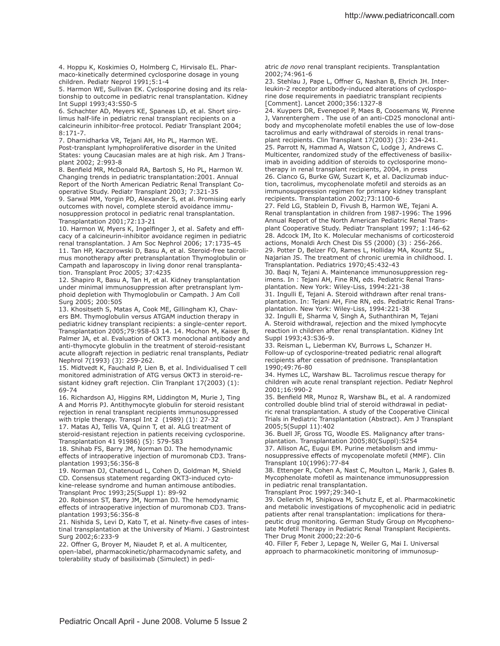4. Hoppu K, Koskimies O, Holmberg C, Hirvisalo EL. Pharmaco-kinetically determined cyclosporine dosage in young children. Pediatr Neprol 1991;5:1-4

5. Harmon WE, Sullivan EK. Cyclosporine dosing and its relationship to outcome in pediatric renal transplantation. Kidney Int Suppl 1993;43:S50-5

6. Schachter AD, Meyers KE, Spaneas LD, et al. Short sirolimus half-life in pediatric renal transplant recipients on a calcineurin inhibitor-free protocol. Pediatr Transplant 2004;  $8:171-7$ 

7. Dharnidharka VR, Tejani AH, Ho PL, Harmon WE. Post-transplant lymphoproliferative disorder in the United States: young Caucasian males are at high risk. Am J Transplant 2002; 2:993-8

8. Benfield MR, McDonald RA, Bartosh S, Ho PL, Harmon W. Changing trends in pediatric transplantation:2001. Annual Report of the North American Pediatric Renal Transplant Cooperative Study. Pediatr Transplant 2003; 7:321-35

9. Sarwal MM, Yorgin PD, Alexander S, et al. Promising early outcomes with novel, complete steroid avoidance immunosuppression protocol in pediatric renal transplantation. Transplantation 2001;72:13-21

10. Harmon W, Myers K, Ingelfinger J, et al. Safety and efficacy of a calcineurin-inhibitor avoidance regimen in pediatric renal transplantation. J Am Soc Nephrol 2006; 17:1735-45 11. Tan HP, Kaczorowski D, Basu A, et al. Steroid-free tacrolimus monotherapy after pretransplantation Thymoglobulin or Campath and laparoscopy in living donor renal transplantation. Transplant Proc 2005; 37:4235

12. Shapiro R, Basu A, Tan H, et al. Kidney transplantation under minimal immunosuppression after pretransplant lymphoid depletion with Thymoglobulin or Campath. J Am Coll Surg 2005; 200:505

13. Khositseth S, Matas A, Cook ME, Gillingham KJ, Chavers BM. Thymoglobulin versus ATGAM induction therapy in pediatric kidney transplant recipients: a single-center report. Transplantation 2005;79:958-63 14. 14. Mochon M, Kaiser B, Palmer JA, et al. Evaluation of OKT3 monoclonal antibody and anti-thymocyte globulin in the treatment of steroid-resistant acute allograft rejection in pediatric renal transplants, Pediatr Nephrol 7(1993) (3): 259-262.

15. Midtvedt K, Fauchald P, Lien B, et al. Individualised T cell monitored administration of ATG versus OKT3 in steroid-resistant kidney graft rejection. Clin Tranplant 17(2003) (1): 69-74

16. Richardson AJ, Higgins RM, Liddington M, Murie J, Ting A and Morris PJ. Antithymocyte globulin for steroid resistant rejection in renal transplant recipients immunosuppressed with triple therapy. Transpl Int 2 (1989) (1): 27-32

17. Matas AJ, Tellis VA, Quinn T, et al. ALG treatment of steroid-resistant rejection in patients receiving cyclosporine. Transplantation 41 91986) (5): 579-583

18. Shihab FS, Barry JM, Norman DJ. The hemodynamic efects of intraoperative injection of muromonab CD3. Transplantation 1993;56:356-8

19. Norman DJ, Chatenoud L, Cohen D, Goldman M, Shield CD. Consensus statement regarding OKT3-induced cytokine-release syndrome and human antimouse antibodies. Transplant Proc 1993;25(Suppl 1): 89-92

20. Robinson ST, Barry JM, Norman DJ. The hemodynamic efects of intraoperative injection of muromonab CD3. Transplantation 1993;56:356-8

21. Nishida S, Levi D, Kato T, et al. Ninety-five cases of intestinal transplantation at the University of Miami. J Gastrointest Surg 2002;6:233-9

22. Ofner G, Broyer M, Niaudet P, et al. A multicenter, open-label, pharmacokinetic/pharmacodynamic safety, and tolerability study of basiliximab (Simulect) in pediatric *de novo* renal transplant recipients. Transplantation 2002;74:961-6

23. Stehlau J, Pape L, Offner G, Nashan B, Ehrich JH. Interleukin-2 receptor antibody-induced alterations of cyclosporine dose requirements in paediatric transplant recipients [Comment]. Lancet 2000;356:1327-8

24. Kuypers DR, Evenepoel P, Maes B, Coosemans W, Pirenne J, Vanrenterghem . The use of an anti-CD25 monoclonal antibody and mycophenolate mofetil enables the use of low-dose tacrolimus and early withdrawal of steroids in renal transplant recipients. Clin Transplant 17(2003) (3): 234-241. 25. Parrott N, Hammad A, Watson C, Lodge J, Andrews C. Multicenter, randomized study of the effectiveness of basiliximab in avoiding addition of steroids to cyclosporine monotherapy in renal transplant recipients, 2004, in press 26. Cianco G, Burke GW, Suzart K, et al. Daclizumab induction, tacrolimus, mycophenolate mofetil and steroids as an immunosuppression regimen for primary kidney transplant recipients. Transplantation 2002;73:1100-6

27. Feld LG, Stablein D, Fivush B, Harmon WE, Tejani A. Renal transplantation in children from 1987-1996: The 1996 Annual Report of the North American Pediatric Renal Transplant Cooperative Study. Pediatr Transplant 1997; 1:146-62 28. Adcock IM, Ito K. Molecular mechanisms of corticosteroid actions, Monaldi Arch Chest Dis 55 (2000) (3) : 256-266. 29. Potter D, Belzer FO, Rames L, Holliday MA, Kountz SL, Najarian JS. The treatment of chronic uremia in childhood. I. Transplantation. Pediatrics 1970;45:432-43

30. Baqi N, Tejani A. Maintenance immunosuppression regimens. In : Tejani AH, Fine RN, eds. Pediatric Renal Transplantation. New York: Wiley-Liss, 1994:221-38

31. Ingulli E, Tejani A. Steroid withdrawn after renal transplantation. In: Tejani AH, Fine RN, eds. Pediatric Renal Transplantation. New York: Wiley-Liss, 1994:221-38

32. Ingulli E, Sharma V, Singh A, Suthanthiran M, Tejani A. Steroid withdrawal, rejection and the mixed lymphocyte reaction in children after renal transplantation. Kidney Int Suppl 1993;43:S36-9.

33. Reisman L, Lieberman KV, Burrows L, Schanzer H. Follow-up of cyclosporine-treated pediatric renal allograft recipients after cessation of prednisone. Transplantation 1990;49:76-80

34. Hymes LC, Warshaw BL. Tacrolimus rescue therapy for children wih acute renal transplant rejection. Pediatr Nephrol 2001;16:990-2

35. Benfield MR, Munoz R, Warshaw BL, et al. A randomized controlled double blind trial of steroid withdrawal in pediatric renal transplantation. A study of the Cooperative Clinical Trials in Pediatric Transplantation (Abstract). Am J Transplant 2005;5(Suppl 11):402

36. Buell JF, Gross TG, Woodle ES. Malignancy after transplantation. Transplantation 2005;80(Suppl):S254

37. Allison AC, Eugui EM. Purine metabolism and immunosuppressive efects of mycopenolate mofetil (MMF). Clin Transplant 10(1996):77-84

38. Ettenger R, Cohen A, Nast C, Moulton L, Marik J, Gales B. Mycophenolate mofetil as maintenance immunosuppression in pediatric renal transplantation.

Transplant Proc 1997;29:340-1

39. Oellerich M, Shipkova M, Schutz E, et al. Pharmacokinetic and metabolic investigations of mycophenolic acid in pediatric patients after renal transplantation: implications for therapeutic drug monitoring. German Study Group on Mycophenolate Mofetil Therapy in Pediatric Renal Transplant Recipients. Ther Drug Monit 2000;22:20-6

40. Filler F, Feber J, Lepage N, Weiler G, Mai I. Universal approach to pharmacokinetic monitoring of immunosup-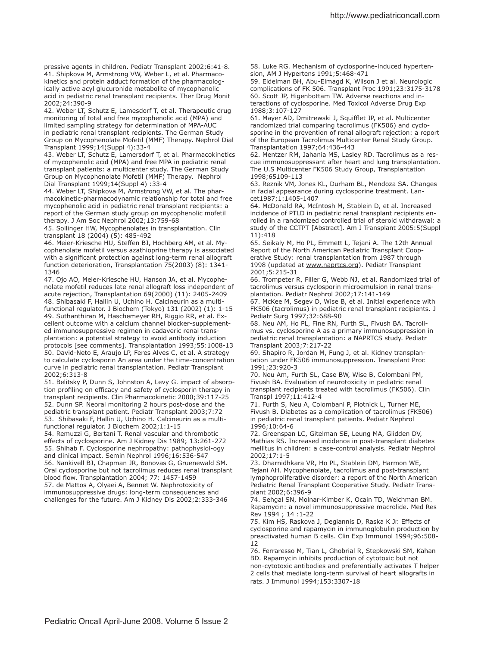http://www.pediatriconcall.com

pressive agents in children. Pediatr Transplant 2002;6:41-8. 41. Shipkova M, Armstrong VW, Weber L, et al. Pharmacokinetics and protein adduct formation of the pharmacologically active acyl glucuronide metabolite of mycophenolic acid in pediatric renal transplant recipients. Ther Drug Monit 2002;24:390-9

42. Weber LT, Schutz E, Lamesdorf T, et al. Therapeutic drug monitoring of total and free mycophenolic acid (MPA) and limited sampling strategy for determination of MPA-AUC in pediatric renal transplant recipients. The German Study Group on Mycophenolate Mofetil (MMF) Therapy. Nephrol Dial Transplant 1999;14(Suppl 4):33-4

43. Weber LT, Schutz E, Lamersdorf T, et al. Pharmacokinetics of mycophenolic acid (MPA) and free MPA in pediatric renal transplant patients: a multicenter study. The German Study Group on Mycophenolate Mofetil (MMF) Therapy. Nephrol Dial Transplant 1999;14(Suppl 4) :33-4

44. Weber LT, Shipkova M, Armstrong VW, et al. The pharmacokinetic-pharmacodynamic relationship for total and free mycophenolic acid in pediatric renal transplant recipients: a report of the German study group on mycophenolic mofetil therapy. J Am Soc Nephrol 2002;13:759-68

45. Sollinger HW, Mycophenolates in transplantation. Clin transplant 18 (2004) (5): 485-492

46. Meier-Kriesche HU, Stefen BJ, Hochberg AM, et al. Mycophenolate mofetil versus azathioprine therapy is associated with a significant protection against long-term renal allograft function deterioration, Transplantation 75(2003) (8): 1341- 1346

47. Ojo AO, Meier-Kriesche HU, Hanson JA, et al. Mycophenolate mofetil reduces late renal allograft loss independent of acute rejection, Transplantation 69(2000) (11): 2405-2409 48. Shibasaki F, Hallin U, Uchino H. Calcineurin as a multifunctional regulator. J Biochem (Tokyo) 131 (2002) (1): 1-15 49. Suthanthiran M, Haschemeyer RH, Riggio RR, et al. Excellent outcome with a calcium channel blocker-supplemented immunosuppressive regimen in cadaveric renal transplantation: a potential strategy to avoid antibody induction protocols [see comments]. Transplantation 1993;55:1008-13 50. David-Neto E, Araujo LP, Feres Alves C, et al. A strategy to calculate cyclosporin An area under the time-concentration curve in pediatric renal transplantation. Pediatr Transplant 2002;6:313-8

51. Belitsky P, Dunn S, Johnston A, Levy G. impact of absorption profiling on efficacy and safety of cyclosporin therapy in transplant recipients. Clin Pharmacokinetic 2000;39:117-25 52. Dunn SP. Neoral monitoring 2 hours post-dose and the pediatric transplant patient. Pediatr Transplant 2003;7:72 53. Shibasaki F, Hallin U, Uchino H. Calcineurin as a multifunctional regulator. J Biochem 2002;1:1-15

54. Remuzzi G, Bertani T. Renal vascular and thrombotic efects of cyclosporine. Am J Kidney Dis 1989; 13:261-272 55. Shihab F. Cyclosporine nephropathy: pathophysiol-ogy and clinical impact. Semin Nephrol 1996;16:536-547 56. Nankivell BJ, Chapman JR, Bonovas G, Gruenewald SM. Oral cyclosporine but not tacrolimus reduces renal transplant blood flow. Transplantation 2004; 77: 1457-1459 57. de Mattos A, Olyaei A, Bennet W. Nephrotoxicity of immunosuppressive drugs: long-term consequences and

challenges for the future. Am J Kidney Dis 2002;2:333-346

58. Luke RG. Mechanism of cyclosporine-induced hypertension, AM J Hypertens 1991;5:468-471

59. Eidelman BH, Abu-Elmagd K, Wilson J et al. Neurologic complications of FK 506. Transplant Proc 1991;23:3175-3178 60. Scott JP, Higenbottam TW. Adverse reactions and interactions of cyclosporine. Med Toxicol Adverse Drug Exp 1988;3:107-127

61. Mayer AD, Dmitrewski J, Squifflet JP, et al. Multicenter randomized trial comparing tacrolimus (FK506) and cyclosporine in the prevention of renal allograft rejection: a report of the European Tacrolimus Multicenter Renal Study Group. Transplantation 1997;64:436-443

62. Mentzer RM, Jahania MS, Lasley RD. Tacrolimus as a rescue immunosuppressant after heart and lung transplantation. The U.S Multicenter FK506 Study Group, Transplantation 1998;65109-113

63. Reznik VM, Jones KL, Durham BL, Mendoza SA. Changes in facial appearance during cyclosporine treatment. Lancet1987;1:1405-1407

64. McDonald RA, McIntosh M, Stablein D, et al. Increased incidence of PTLD in pediatric renal transplant recipients enrolled in a randomized controlled trial of steroid withdrawal: a study of the CCTPT [Abstract]. Am J Transplant 2005:5(Suppl 11):418

65. Seikaly M, Ho PL, Emmett L, Tejani A. The 12th Annual Report of the North American Pediatric Transplant Cooperative Study: renal transplantation from 1987 through 1998 (updated at www.naprtcs.org). Pediatr Transplant 2001;5:215-31

66. Trompeter R, Filler G, Webb NJ, et al. Randomized trial of tacrolimus versus cyclosporin microemulsion in renal transplantation. Pediatr Nephrol 2002;17:141-149

67. McKee M, Segev D, Wise B, et al. Initial experience with FK506 (tacrolimus) in pediatric renal transplant recipients. J Pediatr Surg 1997;32:688-90

68. Neu AM, Ho PL, Fine RN, Furth SL, Fivush BA. Tacrolimus vs. cyclosporine A as a primary immunosuppression in pediatric renal transplantation: a NAPRTCS study. Pediatr Transplant 2003;7:217-22

69. Shapiro R, Jordan M, Fung J, et al. Kidney transplantation under FK506 immunosuppression. Transplant Proc 1991;23:920-3

70. Neu Am, Furth SL, Case BW, Wise B, Colombani PM, Fivush BA. Evaluation of neurotoxicity in pediatric renal transplant recipients treated with tacrolimus (FK506). Clin Transpl 1997;11:412-4

71. Furth S, Neu A, Colombani P, Plotnick L, Turner ME, Fivush B. Diabetes as a complication of tacrolimus (FK506) in pediatric renal transplant patients. Pediatr Nephrol 1996;10:64-6

72. Greenspan LC, Gitelman SE, Leung MA, Glidden DV, Mathias RS. Increased incidence in post-transplant diabetes mellitus in children: a case-control analysis. Pediatr Nephrol 2002;17:1-5

73. Dharnidhkara VR, Ho PL, Stablein DM, Harmon WE, Tejani AH. Mycophenolate, tacrolimus and post-transplant lymphoproliferative disorder: a report of the North American Pediatric Renal Transplant Cooperative Study. Pediatr Transplant 2002;6:396-9

74. Sehgal SN, Molnar-Kimber K, Ocain TD, Weichman BM. Rapamycin: a novel immunosuppressive macrolide. Med Res Rev 1994 ; 14 :1-22

75. Kim HS, Raskova J, Degiannis D, Raska K Jr. Efects of cyclosporine and rapamycin in immunoglobulin production by preactivated human B cells. Clin Exp Immunol 1994;96:508- 12

76. Ferraresso M, Tian L, Ghobrial R, Stepkowski SM, Kahan BD. Rapamycin inhibits production of cytotoxic but not non-cytotoxic antibodies and preferentially activates T helper 2 cells that mediate long-term survival of heart allografts in rats. J Immunol 1994;153:3307-18